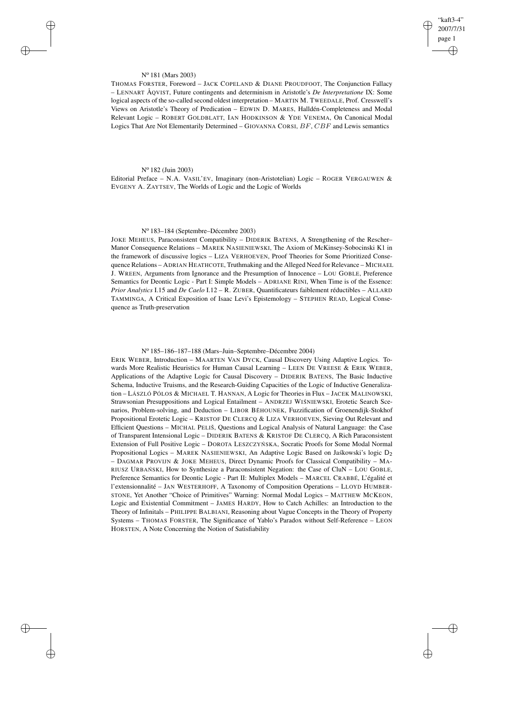"kaft3-4" 2007/7/31 page 1 ✐ ✐

✐

✐

### N<sup>o</sup> 181 (Mars 2003)

✐

✐

✐

✐

THOMAS FORSTER, Foreword – JACK COPELAND & DIANE PROUDFOOT, The Conjunction Fallacy – LENNART ÅQVIST, Future contingents and determinism in Aristotle's *De Interpretatione* IX: Some logical aspects of the so-called second oldest interpretation – MARTIN M. TWEEDALE, Prof. Cresswell's Views on Aristotle's Theory of Predication – EDWIN D. MARES, Halldén-Completeness and Modal Relevant Logic – ROBERT GOLDBLATT, IAN HODKINSON & YDE VENEMA, On Canonical Modal Logics That Are Not Elementarily Determined – GIOVANNA CORSI, BF, CBF and Lewis semantics

# N<sup>o</sup> 182 (Juin 2003)

Editorial Preface – N.A. VASIL'EV, Imaginary (non-Aristotelian) Logic – ROGER VERGAUWEN & EVGENY A. ZAYTSEV, The Worlds of Logic and the Logic of Worlds

### N<sup>o</sup> 183–184 (Septembre–Décembre 2003)

JOKE MEHEUS, Paraconsistent Compatibility – DIDERIK BATENS, A Strengthening of the Rescher– Manor Consequence Relations – MAREK NASIENIEWSKI, The Axiom of McKinsey-Sobocinski K1 in the framework of discussive logics – LIZA VERHOEVEN, Proof Theories for Some Prioritized Consequence Relations – ADRIAN HEATHCOTE, Truthmaking and the Alleged Need for Relevance – MICHAEL J. WREEN, Arguments from Ignorance and the Presumption of Innocence – LOU GOBLE, Preference Semantics for Deontic Logic - Part I: Simple Models – ADRIANE RINI, When Time is of the Essence: *Prior Analytics* I.15 and *De Caelo* I.12 – R. ZUBER, Quantificateurs faiblement réductibles – ALLARD TAMMINGA, A Critical Exposition of Isaac Levi's Epistemology – STEPHEN READ, Logical Consequence as Truth-preservation

### N<sup>o</sup> 185–186–187–188 (Mars–Juin–Septembre–Décembre 2004)

ERIK WEBER, Introduction – MAARTEN VAN DYCK, Causal Discovery Using Adaptive Logics. Towards More Realistic Heuristics for Human Causal Learning – LEEN DE VREESE & ERIK WEBER, Applications of the Adaptive Logic for Causal Discovery – DIDERIK BATENS, The Basic Inductive Schema, Inductive Truisms, and the Research-Guiding Capacities of the Logic of Inductive Generalization – LÁSZLÓ PÓLOS & MICHAEL T. HANNAN, A Logic for Theories in Flux – JACEK MALINOWSKI, Strawsonian Presuppositions and Logical Entailment - ANDRZEJ WISNIEWSKI, Erotetic Search Scenarios, Problem-solving, and Deduction – LIBOR BĚHOUNEK, Fuzzification of Groenendijk-Stokhof Propositional Erotetic Logic – KRISTOF DE CLERCQ & LIZA VERHOEVEN, Sieving Out Relevant and Efficient Questions – MICHAL PELIŠ, Questions and Logical Analysis of Natural Language: the Case of Transparent Intensional Logic – DIDERIK BATENS & KRISTOF DE CLERCQ, A Rich Paraconsistent Extension of Full Positive Logic - DOROTA LESZCZYŃ SKA, Socratic Proofs for Some Modal Normal Propositional Logics – MAREK NASIENIEWSKI, An Adaptive Logic Based on Jaskowski's logic  $D_2$ – DAGMAR PROVIJN & JOKE MEHEUS, Direct Dynamic Proofs for Classical Compatibility – MA-RIUSZ URBAŃSKI, How to Synthesize a Paraconsistent Negation: the Case of CluN – LOU GOBLE, Preference Semantics for Deontic Logic - Part II: Multiplex Models – MARCEL CRABBÉ, L'égalité et l'extensionnalité – JAN WESTERHOFF, A Taxonomy of Composition Operations – LLOYD HUMBER-STONE, Yet Another "Choice of Primitives" Warning: Normal Modal Logics – MATTHEW MCKEON, Logic and Existential Commitment – JAMES HARDY, How to Catch Achilles: an Introduction to the Theory of Infinitals – PHILIPPE BALBIANI, Reasoning about Vague Concepts in the Theory of Property Systems – THOMAS FORSTER, The Significance of Yablo's Paradox without Self-Reference – LEON HORSTEN, A Note Concerning the Notion of Satisfiability